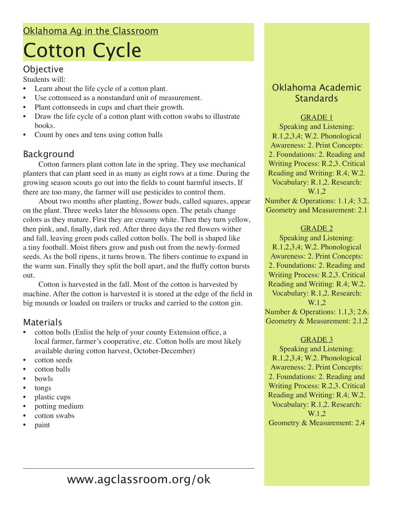# Oklahoma Ag in the Classroom Cotton Cycle

### Objective

Students will:

- Learn about the life cycle of a cotton plant.
- Use cottonseed as a nonstandard unit of measurement.
- Plant cottonseeds in cups and chart their growth.
- Draw the life cycle of a cotton plant with cotton swabs to illustrate books.
- Count by ones and tens using cotton balls

# Background

Cotton farmers plant cotton late in the spring. They use mechanical planters that can plant seed in as many as eight rows at a time. During the growing season scouts go out into the fields to count harmful insects. If there are too many, the farmer will use pesticides to control them.

About two months after planting, flower buds, called squares, appear on the plant. Three weeks later the blossoms open. The petals change colors as they mature. First they are creamy white. Then they turn yellow, then pink, and, finally, dark red. After three days the red flowers wither and fall, leaving green pods called cotton bolls. The boll is shaped like a tiny football. Moist fibers grow and push out from the newly-formed seeds. As the boll ripens, it turns brown. The fibers continue to expand in the warm sun. Finally they split the boll apart, and the fluffy cotton bursts out.

Cotton is harvested in the fall. Most of the cotton is harvested by machine. After the cotton is harvested it is stored at the edge of the field in big mounds or loaded on trailers or trucks and carried to the cotton gin.

### **Materials**

- cotton bolls (Enlist the help of your county Extension office, a local farmer, farmer's cooperative, etc. Cotton bolls are most likely available during cotton harvest, October-December)
- cotton seeds
- cotton balls
- bowls
- tongs
- plastic cups
- potting medium
- cotton swabs
- paint

## Oklahoma Academic **Standards**

#### GRADE 1

Speaking and Listening: R.1,2,3,4; W.2. Phonological Awareness: 2. Print Concepts: 2. Foundations: 2. Reading and Writing Process: R.2,3. Critical Reading and Writing: R.4; W.2. Vocabulary: R.1,2. Research: W.1,2 Number & Operations: 1.1,4; 3.2. Geometry and Measurement: 2.1

#### GRADE 2

Speaking and Listening: R.1,2,3,4; W.2. Phonological Awareness: 2. Print Concepts: 2. Foundations: 2. Reading and Writing Process: R.2,3. Critical Reading and Writing: R.4; W.2. Vocabulary: R.1,2. Research: W.1.2 Number & Operations: 1.1,3; 2.6. Geometry & Measurement: 2.1,2

#### GRADE 3

Speaking and Listening: R.1,2,3,4; W.2. Phonological Awareness: 2. Print Concepts: 2. Foundations: 2. Reading and Writing Process: R.2,3. Critical Reading and Writing: R.4; W.2. Vocabulary: R.1,2. Research: W.1.2 Geometry & Measurement: 2.4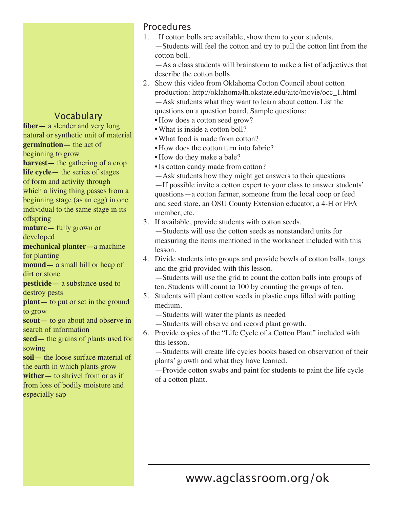# Vocabulary

**fiber—** a slender and very long natural or synthetic unit of material **germination—** the act of beginning to grow **harvest—** the gathering of a crop **life cycle—** the series of stages of form and activity through which a living thing passes from a beginning stage (as an egg) in one individual to the same stage in its

offspring **mature—** fully grown or

developed **mechanical planter—**a machine

for planting

**mound—** a small hill or heap of dirt or stone

**pesticide—** a substance used to destroy pests

**plant**— to put or set in the ground to grow

**scout—** to go about and observe in search of information

**seed—** the grains of plants used for sowing

**soil—** the loose surface material of the earth in which plants grow **wither—** to shrivel from or as if from loss of bodily moisture and especially sap

# Procedures

1. If cotton bolls are available, show them to your students.

—Students will feel the cotton and try to pull the cotton lint from the cotton boll.

—As a class students will brainstorm to make a list of adjectives that describe the cotton bolls.

2. Show this video from Oklahoma Cotton Council about cotton production: http://oklahoma4h.okstate.edu/aitc/movie/occ\_1.html —Ask students what they want to learn about cotton. List the

questions on a question board. Sample questions:

- How does a cotton seed grow?
- What is inside a cotton boll?
- •What food is made from cotton?
- How does the cotton turn into fabric?
- How do they make a bale?
- •Is cotton candy made from cotton?
- —Ask students how they might get answers to their questions

—If possible invite a cotton expert to your class to answer students' questions—a cotton farmer, someone from the local coop or feed and seed store, an OSU County Extension educator, a 4-H or FFA member, etc.

3. If available, provide students with cotton seeds.

—Students will use the cotton seeds as nonstandard units for measuring the items mentioned in the worksheet included with this lesson.

4. Divide students into groups and provide bowls of cotton balls, tongs and the grid provided with this lesson.

—Students will use the grid to count the cotton balls into groups of ten. Students will count to 100 by counting the groups of ten.

- 5. Students will plant cotton seeds in plastic cups filled with potting medium.
	- —Students will water the plants as needed
	- —Students will observe and record plant growth.
- 6. Provide copies of the "Life Cycle of a Cotton Plant" included with this lesson.

—Students will create life cycles books based on observation of their plants' growth and what they have learned.

—Provide cotton swabs and paint for students to paint the life cycle of a cotton plant.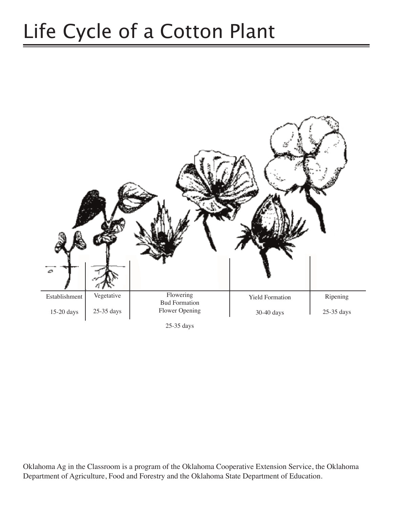# Life Cycle of a Cotton Plant



Oklahoma Ag in the Classroom is a program of the Oklahoma Cooperative Extension Service, the Oklahoma Department of Agriculture, Food and Forestry and the Oklahoma State Department of Education.